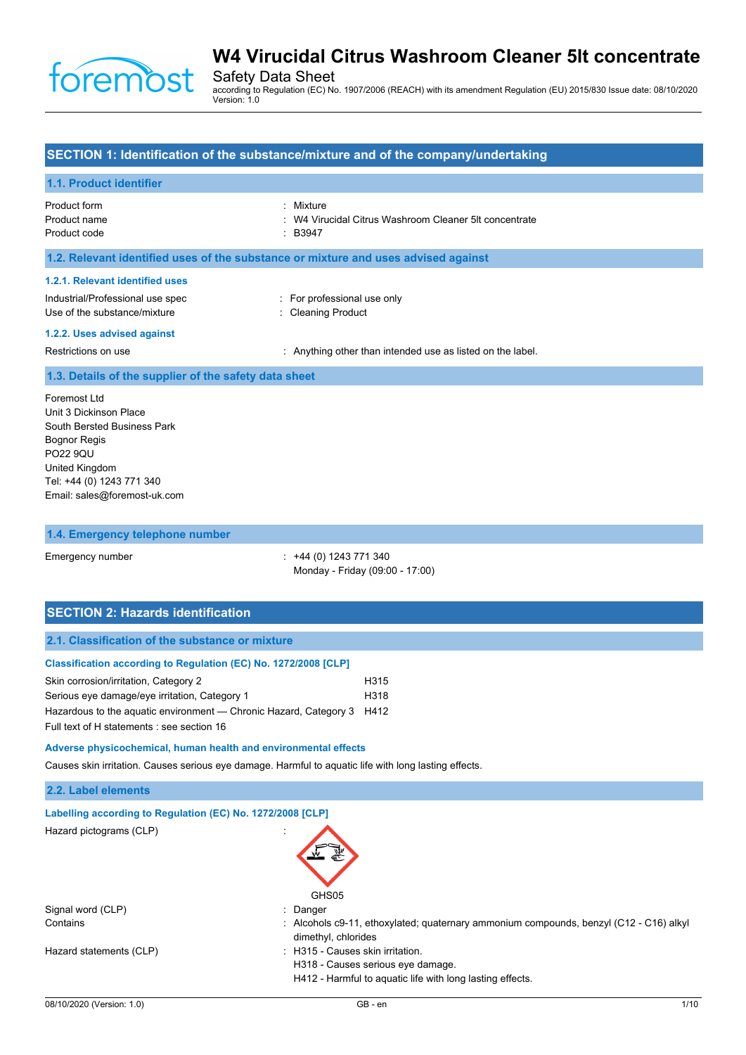

Safety Data Sheet according to Regulation (EC) No. 1907/2006 (REACH) with its amendment Regulation (EU) 2015/830 Issue date: 08/10/2020 Version: 1.0

## **SECTION 1: Identification of the substance/mixture and of the company/undertaking**

### **1.1. Product identifier**

| Product form | : Mixture                                              |
|--------------|--------------------------------------------------------|
| Product name | : W4 Virucidal Citrus Washroom Cleaner 5lt concentrate |
| Product code | $\cdot$ B3947                                          |

#### **1.2. Relevant identified uses of the substance or mixture and uses advised against**

#### **1.2.1. Relevant identified uses**

| Industrial/Professional use spec |  |
|----------------------------------|--|
| Use of the substance/mixture     |  |

: For professional use only : Cleaning Product

#### **1.2.2. Uses advised against**

Restrictions on use **intended** use in the label. Anything other than intended use as listed on the label.

#### **1.3. Details of the supplier of the safety data sheet**

Foremost Ltd Unit 3 Dickinson Place South Bersted Business Park Bognor Regis PO22 9QU United Kingdom Tel: +44 (0) 1243 771 340 Email: sales@foremost-uk.com

#### **1.4. Emergency telephone number**

Emergency number : +44 (0) 1243 771 340 Monday - Friday (09:00 - 17:00)

## **SECTION 2: Hazards identification**

### **2.1. Classification of the substance or mixture**

#### **Classification according to Regulation (EC) No. 1272/2008 [CLP]**

| Skin corrosion/irritation, Category 2                                  | H315 |
|------------------------------------------------------------------------|------|
| Serious eye damage/eye irritation, Category 1                          | H318 |
| Hazardous to the aguatic environment — Chronic Hazard, Category 3 H412 |      |
| Full text of H statements : see section 16                             |      |

#### **Adverse physicochemical, human health and environmental effects**

Causes skin irritation. Causes serious eye damage. Harmful to aquatic life with long lasting effects.

## **2.2. Label elements**

| Labelling according to Regulation (EC) No. 1272/2008 [CLP] |                                                                                                                  |
|------------------------------------------------------------|------------------------------------------------------------------------------------------------------------------|
| Hazard pictograms (CLP)<br>$\ddot{\phantom{a}}$            | GHS05                                                                                                            |
| Signal word (CLP)                                          | $\therefore$ Danger                                                                                              |
| Contains                                                   | : Alcohols $c9-11$ , ethoxylated; quaternary ammonium compounds, benzyl (C12 - C16) alkyl<br>dimethyl, chlorides |
| Hazard statements (CLP)                                    | : H315 - Causes skin irritation.                                                                                 |
|                                                            | H318 - Causes serious eye damage.                                                                                |
|                                                            | H412 - Harmful to aquatic life with long lasting effects.                                                        |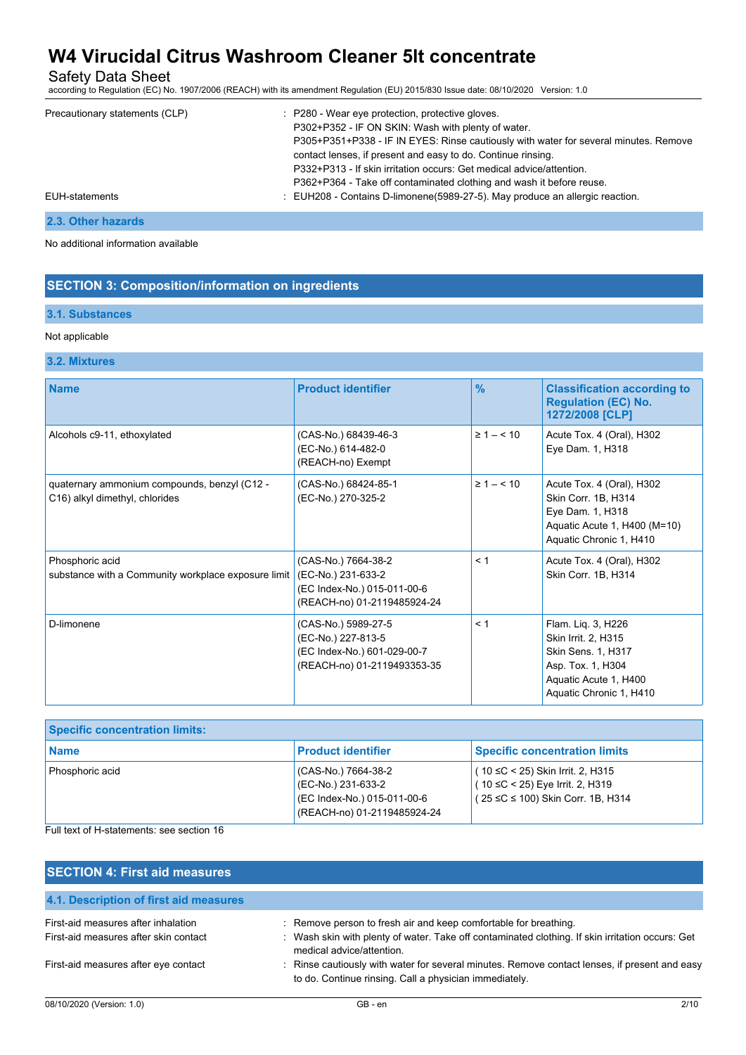## Safety Data Sheet

according to Regulation (EC) No. 1907/2006 (REACH) with its amendment Regulation (EU) 2015/830 Issue date: 08/10/2020 Version: 1.0

| Precautionary statements (CLP) | : P280 - Wear eye protection, protective gloves.                                        |
|--------------------------------|-----------------------------------------------------------------------------------------|
|                                | P302+P352 - IF ON SKIN: Wash with plenty of water.                                      |
|                                | P305+P351+P338 - IF IN EYES: Rinse cautiously with water for several minutes. Remove    |
|                                | contact lenses, if present and easy to do. Continue rinsing.                            |
|                                | P332+P313 - If skin irritation occurs: Get medical advice/attention.                    |
|                                | P362+P364 - Take off contaminated clothing and wash it before reuse.                    |
| <b>EUH-statements</b>          | $\therefore$ EUH208 - Contains D-limonene(5989-27-5). May produce an allergic reaction. |
|                                |                                                                                         |

## **2.3. Other hazards**

No additional information available

## **SECTION 3: Composition/information on ingredients**

#### **3.1. Substances**

#### Not applicable

## **3.2. Mixtures**

| <b>Name</b>                                                                    | <b>Product identifier</b>                                                                               | $\frac{9}{6}$      | <b>Classification according to</b><br><b>Regulation (EC) No.</b><br>1272/2008 [CLP]                                                      |
|--------------------------------------------------------------------------------|---------------------------------------------------------------------------------------------------------|--------------------|------------------------------------------------------------------------------------------------------------------------------------------|
| Alcohols c9-11, ethoxylated                                                    | (CAS-No.) 68439-46-3<br>(EC-No.) 614-482-0<br>(REACH-no) Exempt                                         | $\geq 1 - 510$     | Acute Tox. 4 (Oral), H302<br>Eye Dam. 1, H318                                                                                            |
| quaternary ammonium compounds, benzyl (C12 -<br>C16) alkyl dimethyl, chlorides | (CAS-No.) 68424-85-1<br>(EC-No.) 270-325-2                                                              | $\geq 1 - \leq 10$ | Acute Tox. 4 (Oral), H302<br>Skin Corr. 1B, H314<br>Eye Dam. 1, H318<br>Aquatic Acute 1, H400 (M=10)<br>Aquatic Chronic 1, H410          |
| Phosphoric acid<br>substance with a Community workplace exposure limit         | (CAS-No.) 7664-38-2<br>(EC-No.) 231-633-2<br>(EC Index-No.) 015-011-00-6<br>(REACH-no) 01-2119485924-24 | < 1                | Acute Tox. 4 (Oral), H302<br>Skin Corr. 1B, H314                                                                                         |
| D-limonene                                                                     | (CAS-No.) 5989-27-5<br>(EC-No.) 227-813-5<br>(EC Index-No.) 601-029-00-7<br>(REACH-no) 01-2119493353-35 | < 1                | Flam. Lig. 3, H226<br>Skin Irrit. 2, H315<br>Skin Sens. 1, H317<br>Asp. Tox. 1, H304<br>Aquatic Acute 1, H400<br>Aquatic Chronic 1, H410 |

| <b>Specific concentration limits:</b> |                                                                                                         |                                                                                                                   |
|---------------------------------------|---------------------------------------------------------------------------------------------------------|-------------------------------------------------------------------------------------------------------------------|
| <b>Name</b>                           | <b>Product identifier</b>                                                                               | <b>Specific concentration limits</b>                                                                              |
| Phosphoric acid                       | (CAS-No.) 7664-38-2<br>(EC-No.) 231-633-2<br>(EC Index-No.) 015-011-00-6<br>(REACH-no) 01-2119485924-24 | $(10 ≤ C < 25)$ Skin Irrit. 2, H315<br>$(10 \leq C < 25)$ Eye Irrit. 2, H319<br>(25 ≤C ≤ 100) Skin Corr. 1B, H314 |

Full text of H-statements: see section 16

| <b>SECTION 4: First aid measures</b>                                         |                                                                                                                                                                                                 |
|------------------------------------------------------------------------------|-------------------------------------------------------------------------------------------------------------------------------------------------------------------------------------------------|
| 4.1. Description of first aid measures                                       |                                                                                                                                                                                                 |
| First-aid measures after inhalation<br>First-aid measures after skin contact | : Remove person to fresh air and keep comfortable for breathing.<br>Wash skin with plenty of water. Take off contaminated clothing. If skin irritation occurs: Get<br>medical advice/attention. |
| First-aid measures after eye contact                                         | : Rinse cautiously with water for several minutes. Remove contact lenses, if present and easy<br>to do. Continue rinsing. Call a physician immediately.                                         |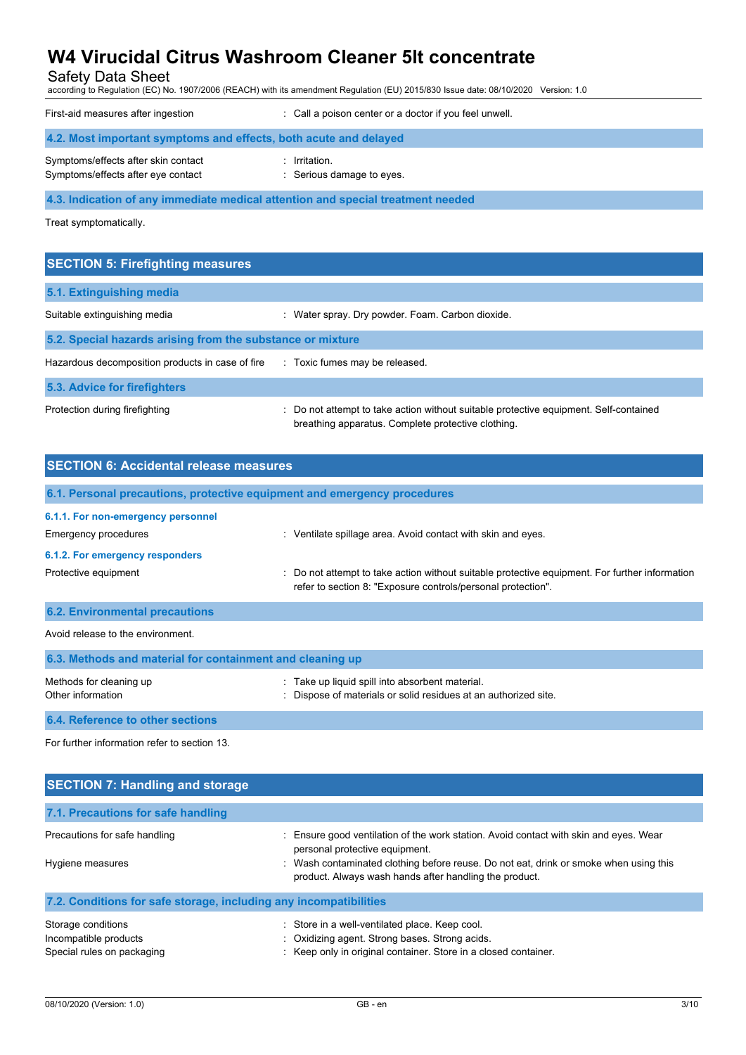Safety Data Sheet

according to Regulation (EC) No. 1907/2006 (REACH) with its amendment Regulation (EU) 2015/830 Issue date: 08/10/2020 Version: 1.0

| First-aid measures after ingestion                                              | : Call a poison center or a doctor if you feel unwell. |
|---------------------------------------------------------------------------------|--------------------------------------------------------|
| 4.2. Most important symptoms and effects, both acute and delayed                |                                                        |
| Symptoms/effects after skin contact<br>Symptoms/effects after eye contact       | $:$ Irritation.<br>: Serious damage to eyes.           |
| 4.3. Indication of any immediate medical attention and special treatment needed |                                                        |

Treat symptomatically.

| <b>SECTION 5: Firefighting measures</b>                                       |                                                                                                                                             |  |
|-------------------------------------------------------------------------------|---------------------------------------------------------------------------------------------------------------------------------------------|--|
| 5.1. Extinguishing media                                                      |                                                                                                                                             |  |
| Suitable extinguishing media                                                  | : Water spray. Dry powder. Foam. Carbon dioxide.                                                                                            |  |
| 5.2. Special hazards arising from the substance or mixture                    |                                                                                                                                             |  |
| Hazardous decomposition products in case of fire Toxic fumes may be released. |                                                                                                                                             |  |
| 5.3. Advice for firefighters                                                  |                                                                                                                                             |  |
| Protection during firefighting                                                | : Do not attempt to take action without suitable protective equipment. Self-contained<br>breathing apparatus. Complete protective clothing. |  |

| <b>SECTION 6: Accidental release measures</b>                            |                                                                                                                                                                |  |
|--------------------------------------------------------------------------|----------------------------------------------------------------------------------------------------------------------------------------------------------------|--|
| 6.1. Personal precautions, protective equipment and emergency procedures |                                                                                                                                                                |  |
| 6.1.1. For non-emergency personnel                                       |                                                                                                                                                                |  |
| <b>Emergency procedures</b>                                              | Ventilate spillage area. Avoid contact with skin and eyes.<br>÷.                                                                                               |  |
| 6.1.2. For emergency responders                                          |                                                                                                                                                                |  |
| Protective equipment                                                     | : Do not attempt to take action without suitable protective equipment. For further information<br>refer to section 8: "Exposure controls/personal protection". |  |
| <b>6.2. Environmental precautions</b>                                    |                                                                                                                                                                |  |
| Avoid release to the environment                                         |                                                                                                                                                                |  |

| 6.3. Methods and material for containment and cleaning up |                                                                                                                    |
|-----------------------------------------------------------|--------------------------------------------------------------------------------------------------------------------|
| Methods for cleaning up<br>Other information              | . Take up liquid spill into absorbent material.<br>: Dispose of materials or solid residues at an authorized site. |
| <b>6.4. Reference to other sections</b>                   |                                                                                                                    |

For further information refer to section 13.

| <b>SECTION 7: Handling and storage</b>                                    |                                                                                                                                                                                                                                                                          |  |  |
|---------------------------------------------------------------------------|--------------------------------------------------------------------------------------------------------------------------------------------------------------------------------------------------------------------------------------------------------------------------|--|--|
| 7.1. Precautions for safe handling                                        |                                                                                                                                                                                                                                                                          |  |  |
| Precautions for safe handling<br>Hygiene measures                         | Ensure good ventilation of the work station. Avoid contact with skin and eyes. Wear<br>personal protective equipment.<br>: Wash contaminated clothing before reuse. Do not eat, drink or smoke when using this<br>product. Always wash hands after handling the product. |  |  |
| 7.2. Conditions for safe storage, including any incompatibilities         |                                                                                                                                                                                                                                                                          |  |  |
| Storage conditions<br>Incompatible products<br>Special rules on packaging | : Store in a well-ventilated place. Keep cool.<br>: Oxidizing agent. Strong bases. Strong acids.<br>: Keep only in original container. Store in a closed container.                                                                                                      |  |  |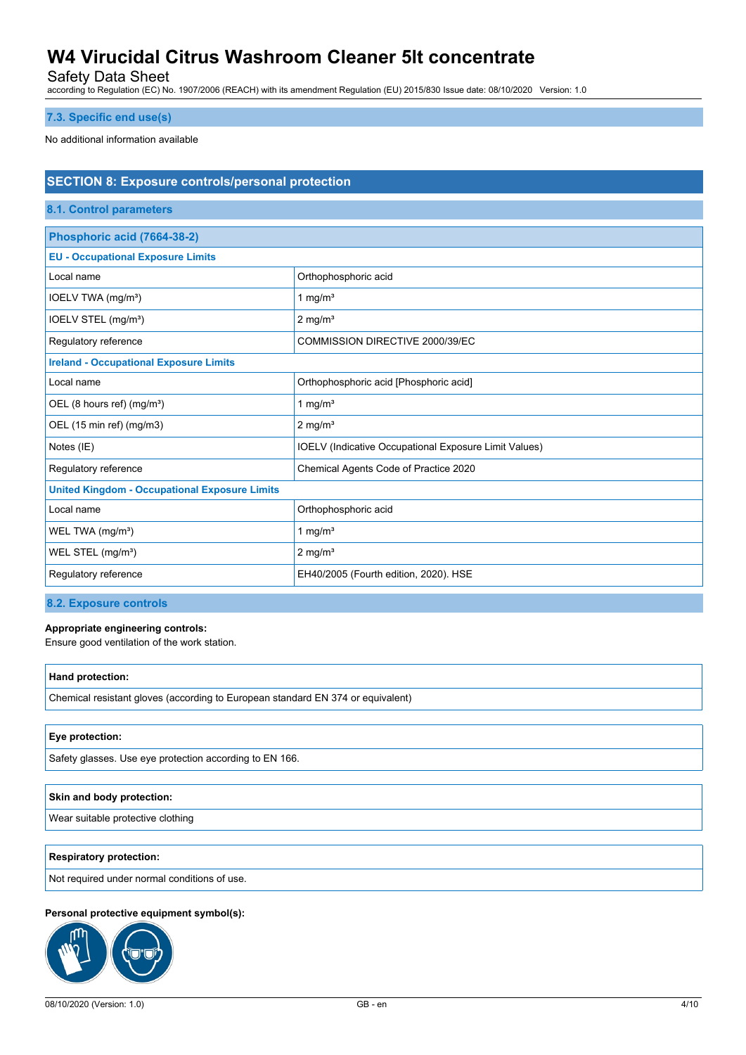Safety Data Sheet

according to Regulation (EC) No. 1907/2006 (REACH) with its amendment Regulation (EU) 2015/830 Issue date: 08/10/2020 Version: 1.0

### **7.3. Specific end use(s)**

No additional information available

| <b>SECTION 8: Exposure controls/personal protection</b> |                                                              |  |  |
|---------------------------------------------------------|--------------------------------------------------------------|--|--|
| 8.1. Control parameters                                 |                                                              |  |  |
| Phosphoric acid (7664-38-2)                             |                                                              |  |  |
| <b>EU - Occupational Exposure Limits</b>                |                                                              |  |  |
| Local name                                              | Orthophosphoric acid                                         |  |  |
| IOELV TWA (mg/m <sup>3</sup> )                          | 1 mg/ $m3$                                                   |  |  |
| IOELV STEL (mg/m <sup>3</sup> )                         | $2$ mg/m <sup>3</sup>                                        |  |  |
| Regulatory reference                                    | COMMISSION DIRECTIVE 2000/39/EC                              |  |  |
| <b>Ireland - Occupational Exposure Limits</b>           |                                                              |  |  |
| Local name                                              | Orthophosphoric acid [Phosphoric acid]                       |  |  |
| OEL (8 hours ref) (mg/m <sup>3</sup> )                  | 1 mg/ $m3$                                                   |  |  |
| OEL (15 min ref) (mg/m3)                                | $2 \text{ mg/m}^3$                                           |  |  |
| Notes (IE)                                              | <b>IOELV</b> (Indicative Occupational Exposure Limit Values) |  |  |
| Regulatory reference                                    | Chemical Agents Code of Practice 2020                        |  |  |
| <b>United Kingdom - Occupational Exposure Limits</b>    |                                                              |  |  |
| Local name                                              | Orthophosphoric acid                                         |  |  |
| WEL TWA (mg/m <sup>3</sup> )                            | 1 mg/ $m3$                                                   |  |  |
| WEL STEL (mg/m <sup>3</sup> )                           | $2$ mg/m <sup>3</sup>                                        |  |  |
| Regulatory reference                                    | EH40/2005 (Fourth edition, 2020). HSE                        |  |  |

### **8.2. Exposure controls**

#### **Appropriate engineering controls:**

Ensure good ventilation of the work station.

| Hand protection:                                                                |
|---------------------------------------------------------------------------------|
| Chemical resistant gloves (according to European standard EN 374 or equivalent) |

#### **Eye protection:**

Safety glasses. Use eye protection according to EN 166.

| Skin and body protection:         |  |
|-----------------------------------|--|
| Wear suitable protective clothing |  |

#### **Respiratory protection:**

Not required under normal conditions of use.

#### **Personal protective equipment symbol(s):**

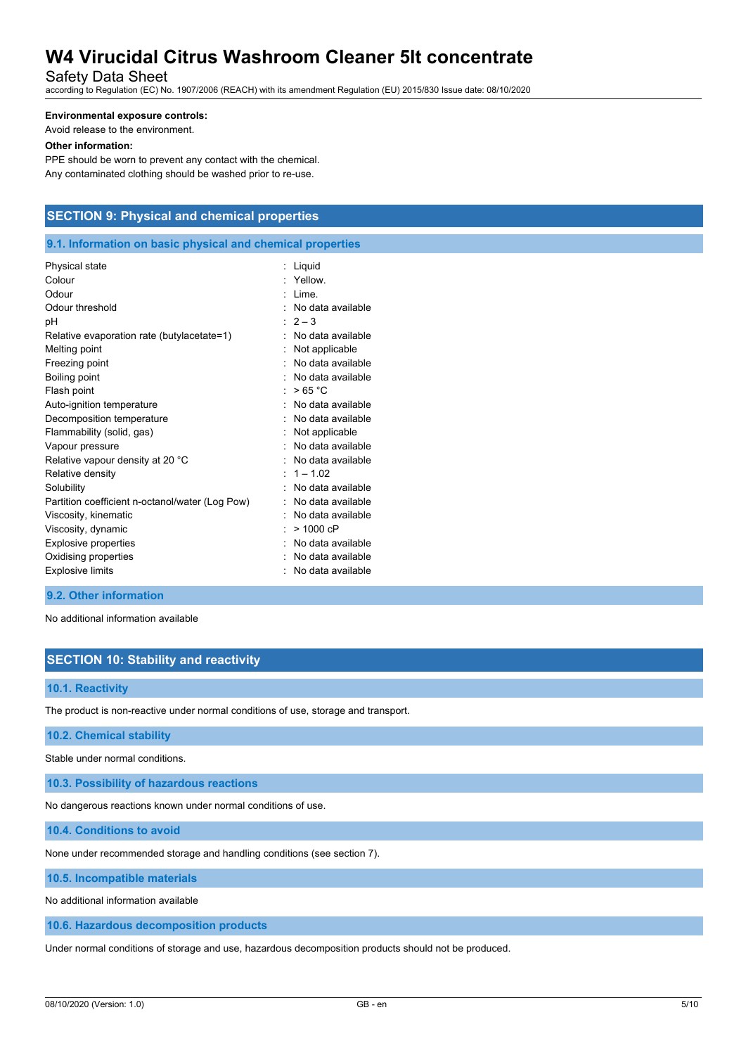Safety Data Sheet

according to Regulation (EC) No. 1907/2006 (REACH) with its amendment Regulation (EU) 2015/830 Issue date: 08/10/2020

### **Environmental exposure controls:**

Avoid release to the environment.

### **Other information:**

PPE should be worn to prevent any contact with the chemical. Any contaminated clothing should be washed prior to re-use.

# **SECTION 9: Physical and chemical properties**

### **9.1. Information on basic physical and chemical properties**

| Physical state                                  | Liquid            |
|-------------------------------------------------|-------------------|
| Colour                                          | Yellow.           |
| Odour                                           | I ime             |
| Odour threshold                                 | No data available |
| рH                                              | $2 - 3$           |
| Relative evaporation rate (butylacetate=1)      | No data available |
| Melting point                                   | Not applicable    |
| Freezing point                                  | No data available |
| Boiling point                                   | No data available |
| Flash point                                     | >65 °C            |
| Auto-ignition temperature                       | No data available |
| Decomposition temperature                       | No data available |
| Flammability (solid, gas)                       | Not applicable    |
| Vapour pressure                                 | No data available |
| Relative vapour density at 20 °C                | No data available |
| Relative density                                | $1 - 1.02$        |
| Solubility                                      | No data available |
| Partition coefficient n-octanol/water (Log Pow) | No data available |
| Viscosity, kinematic                            | No data available |
| Viscosity, dynamic                              | $>1000$ cP        |
| Explosive properties                            | No data available |
| Oxidising properties                            | No data available |
| <b>Explosive limits</b>                         | No data available |

### **9.2. Other information**

No additional information available

## **SECTION 10: Stability and reactivity**

#### **10.1. Reactivity**

The product is non-reactive under normal conditions of use, storage and transport.

**10.2. Chemical stability**

Stable under normal conditions.

**10.3. Possibility of hazardous reactions**

No dangerous reactions known under normal conditions of use.

**10.4. Conditions to avoid**

None under recommended storage and handling conditions (see section 7).

**10.5. Incompatible materials**

No additional information available

**10.6. Hazardous decomposition products**

Under normal conditions of storage and use, hazardous decomposition products should not be produced.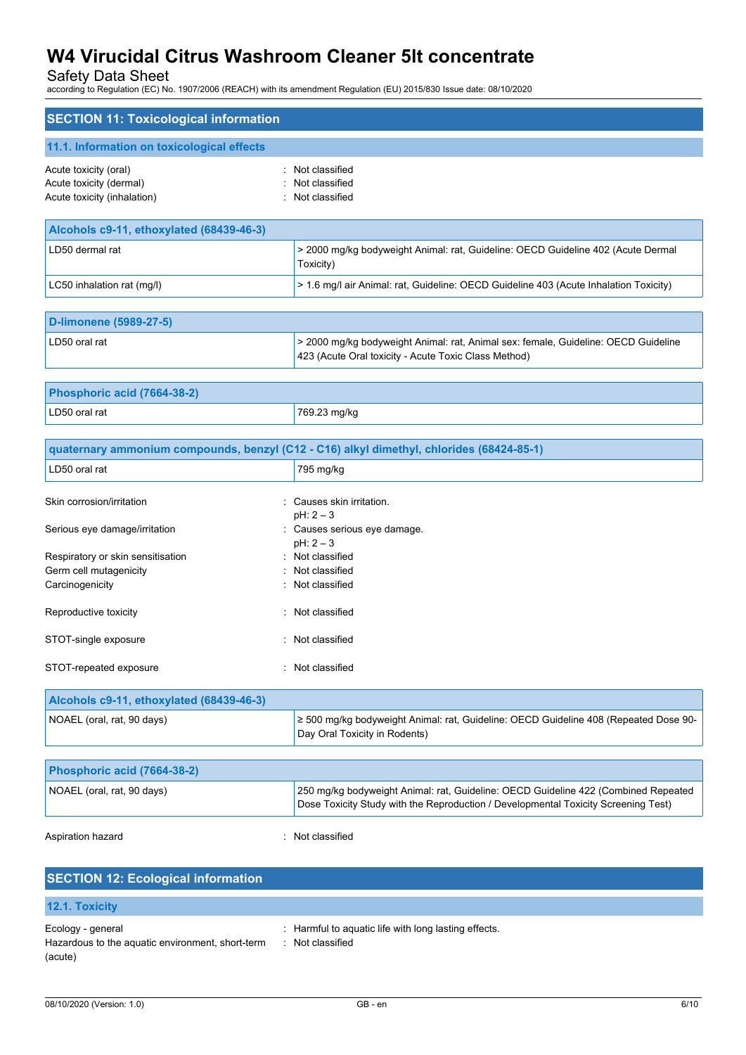Safety Data Sheet

according to Regulation (EC) No. 1907/2006 (REACH) with its amendment Regulation (EU) 2015/830 Issue date: 08/10/2020

| <b>SECTION 11: Toxicological information</b>                                              |                                                                                                                                                                          |
|-------------------------------------------------------------------------------------------|--------------------------------------------------------------------------------------------------------------------------------------------------------------------------|
| 11.1. Information on toxicological effects                                                |                                                                                                                                                                          |
| Acute toxicity (oral)<br>÷<br>Acute toxicity (dermal)<br>Acute toxicity (inhalation)<br>÷ | Not classified<br>Not classified<br>Not classified                                                                                                                       |
| Alcohols c9-11, ethoxylated (68439-46-3)                                                  |                                                                                                                                                                          |
| LD50 dermal rat                                                                           | > 2000 mg/kg bodyweight Animal: rat, Guideline: OECD Guideline 402 (Acute Dermal<br>Toxicity)                                                                            |
| LC50 inhalation rat (mg/l)                                                                | > 1.6 mg/l air Animal: rat, Guideline: OECD Guideline 403 (Acute Inhalation Toxicity)                                                                                    |
| <b>D-limonene (5989-27-5)</b>                                                             |                                                                                                                                                                          |
| LD50 oral rat                                                                             | > 2000 mg/kg bodyweight Animal: rat, Animal sex: female, Guideline: OECD Guideline<br>423 (Acute Oral toxicity - Acute Toxic Class Method)                               |
| Phosphoric acid (7664-38-2)                                                               |                                                                                                                                                                          |
| LD50 oral rat                                                                             | 769.23 mg/kg                                                                                                                                                             |
|                                                                                           | quaternary ammonium compounds, benzyl (C12 - C16) alkyl dimethyl, chlorides (68424-85-1)                                                                                 |
| LD50 oral rat                                                                             | 795 mg/kg                                                                                                                                                                |
| Skin corrosion/irritation                                                                 | Causes skin irritation.                                                                                                                                                  |
| Serious eye damage/irritation                                                             | $pH: 2-3$<br>: Causes serious eye damage.                                                                                                                                |
| Respiratory or skin sensitisation<br>Germ cell mutagenicity<br>Carcinogenicity            | $pH: 2-3$<br>Not classified<br>Not classified<br>Not classified                                                                                                          |
| Reproductive toxicity                                                                     | : Not classified                                                                                                                                                         |
| STOT-single exposure<br>÷.                                                                | Not classified                                                                                                                                                           |
| STOT-repeated exposure                                                                    | : Not classified                                                                                                                                                         |
| Alcohols c9-11, ethoxylated (68439-46-3)                                                  |                                                                                                                                                                          |
| NOAEL (oral, rat, 90 days)                                                                | ≥ 500 mg/kg bodyweight Animal: rat, Guideline: OECD Guideline 408 (Repeated Dose 90-<br>Day Oral Toxicity in Rodents)                                                    |
| Phosphoric acid (7664-38-2)                                                               |                                                                                                                                                                          |
| NOAEL (oral, rat, 90 days)                                                                | 250 mg/kg bodyweight Animal: rat, Guideline: OECD Guideline 422 (Combined Repeated<br>Dose Toxicity Study with the Reproduction / Developmental Toxicity Screening Test) |
| Aspiration hazard                                                                         | Not classified                                                                                                                                                           |
| <b>SECTION 12: Ecological information</b>                                                 |                                                                                                                                                                          |

| <b>12.1. Toxicity</b>                            |                                                      |
|--------------------------------------------------|------------------------------------------------------|
| Ecology - general                                | : Harmful to aquatic life with long lasting effects. |
| Hazardous to the aquatic environment, short-term | : Not classified                                     |
| (acute)                                          |                                                      |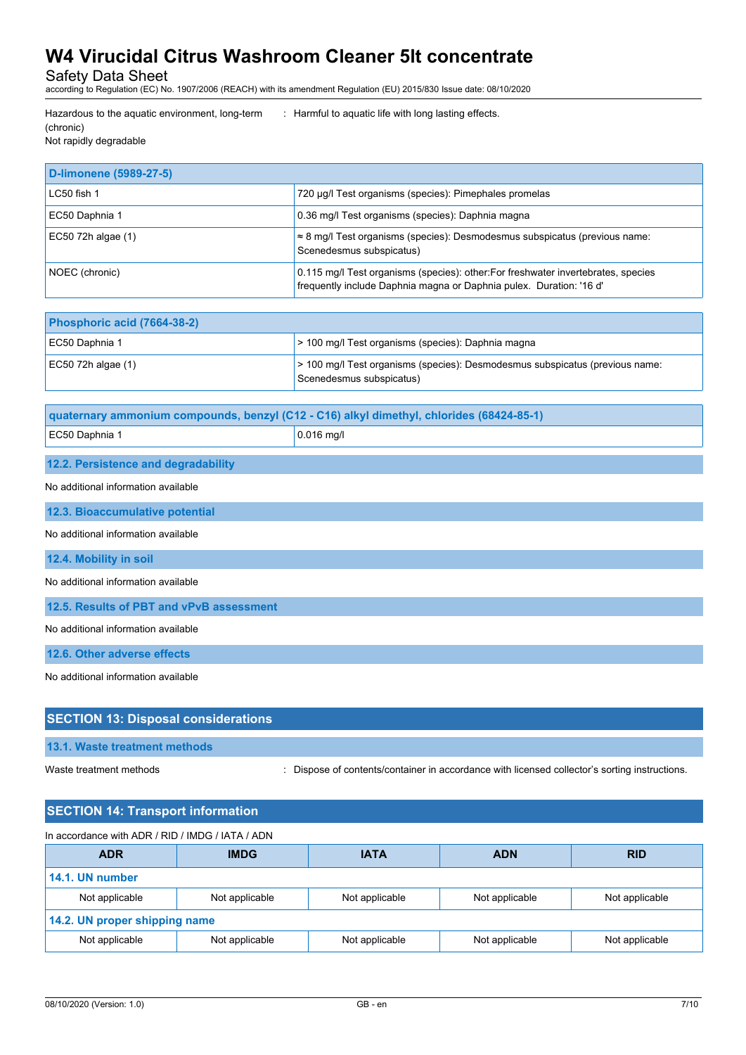Safety Data Sheet

according to Regulation (EC) No. 1907/2006 (REACH) with its amendment Regulation (EU) 2015/830 Issue date: 08/10/2020

Hazardous to the aquatic environment, long-term (chronic)

: Harmful to aquatic life with long lasting effects.

Not rapidly degradable

| <b>D-limonene (5989-27-5)</b> |                                                                                                                                                          |
|-------------------------------|----------------------------------------------------------------------------------------------------------------------------------------------------------|
| $LC50$ fish 1                 | 720 µg/l Test organisms (species): Pimephales promelas                                                                                                   |
| EC50 Daphnia 1                | 0.36 mg/l Test organisms (species): Daphnia magna                                                                                                        |
| EC50 72h algae (1)            | $\approx$ 8 mg/l Test organisms (species): Desmodesmus subspicatus (previous name:<br>Scenedesmus subspicatus)                                           |
| NOEC (chronic)                | 0.115 mg/l Test organisms (species): other: For freshwater invertebrates, species<br>frequently include Daphnia magna or Daphnia pulex. Duration: '16 d' |

| Phosphoric acid (7664-38-2) |                                                                                                          |
|-----------------------------|----------------------------------------------------------------------------------------------------------|
| EC50 Daphnia 1              | > 100 mg/l Test organisms (species): Daphnia magna                                                       |
| $EC50$ 72h algae (1)        | > 100 mg/l Test organisms (species): Desmodesmus subspicatus (previous name:<br>Scenedesmus subspicatus) |

| quaternary ammonium compounds, benzyl (C12 - C16) alkyl dimethyl, chlorides (68424-85-1) |                    |  |
|------------------------------------------------------------------------------------------|--------------------|--|
| EC50 Daphnia 1                                                                           | $\vert$ 0.016 ma/l |  |

### **12.2. Persistence and degradability**

No additional information available

**12.3. Bioaccumulative potential**

No additional information available

**12.4. Mobility in soil**

No additional information available

**12.5. Results of PBT and vPvB assessment**

No additional information available

**12.6. Other adverse effects**

No additional information available

## **SECTION 13: Disposal considerations**

**13.1. Waste treatment methods**

Waste treatment methods : Dispose of contents/container in accordance with licensed collector's sorting instructions.

| In accordance with ADR / RID / IMDG / IATA / ADN |                |                |                |                |
|--------------------------------------------------|----------------|----------------|----------------|----------------|
| <b>ADR</b>                                       | <b>IMDG</b>    | <b>IATA</b>    | <b>ADN</b>     | <b>RID</b>     |
| 14.1. UN number                                  |                |                |                |                |
| Not applicable                                   | Not applicable | Not applicable | Not applicable | Not applicable |
| 14.2. UN proper shipping name                    |                |                |                |                |
| Not applicable                                   | Not applicable | Not applicable | Not applicable | Not applicable |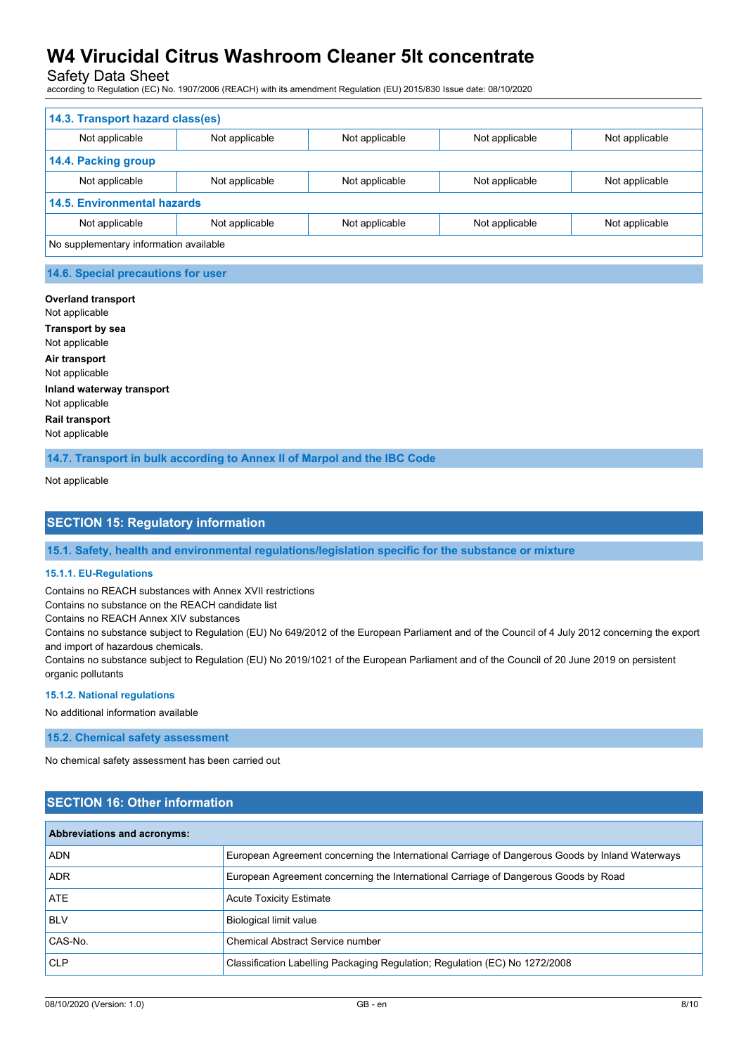Safety Data Sheet

according to Regulation (EC) No. 1907/2006 (REACH) with its amendment Regulation (EU) 2015/830 Issue date: 08/10/2020

| 14.3. Transport hazard class(es)       |                |                |                |                |  |
|----------------------------------------|----------------|----------------|----------------|----------------|--|
| Not applicable                         | Not applicable | Not applicable | Not applicable | Not applicable |  |
| 14.4. Packing group                    |                |                |                |                |  |
| Not applicable                         | Not applicable | Not applicable | Not applicable | Not applicable |  |
| <b>14.5. Environmental hazards</b>     |                |                |                |                |  |
| Not applicable                         | Not applicable | Not applicable | Not applicable | Not applicable |  |
| No supplementary information available |                |                |                |                |  |

### **14.6. Special precautions for user**

## **Overland transport** Not applicable **Transport by sea** Not applicable **Air transport** Not applicable **Inland waterway transport** Not applicable **Rail transport** Not applicable

**14.7. Transport in bulk according to Annex II of Marpol and the IBC Code**

Not applicable

## **SECTION 15: Regulatory information**

**15.1. Safety, health and environmental regulations/legislation specific for the substance or mixture**

#### **15.1.1. EU-Regulations**

Contains no REACH substances with Annex XVII restrictions

Contains no substance on the REACH candidate list

Contains no REACH Annex XIV substances

Contains no substance subject to Regulation (EU) No 649/2012 of the European Parliament and of the Council of 4 July 2012 concerning the export and import of hazardous chemicals.

Contains no substance subject to Regulation (EU) No 2019/1021 of the European Parliament and of the Council of 20 June 2019 on persistent organic pollutants

#### **15.1.2. National regulations**

No additional information available

**15.2. Chemical safety assessment**

No chemical safety assessment has been carried out

## **SECTION 16: Other information**

| <b>Abbreviations and acronyms:</b> |                                                                                                 |  |
|------------------------------------|-------------------------------------------------------------------------------------------------|--|
| <b>ADN</b>                         | European Agreement concerning the International Carriage of Dangerous Goods by Inland Waterways |  |
| <b>ADR</b>                         | European Agreement concerning the International Carriage of Dangerous Goods by Road             |  |
| ATE                                | <b>Acute Toxicity Estimate</b>                                                                  |  |
| <b>BLV</b>                         | <b>Biological limit value</b>                                                                   |  |
| CAS-No.                            | Chemical Abstract Service number                                                                |  |
| <b>CLP</b>                         | Classification Labelling Packaging Regulation; Regulation (EC) No 1272/2008                     |  |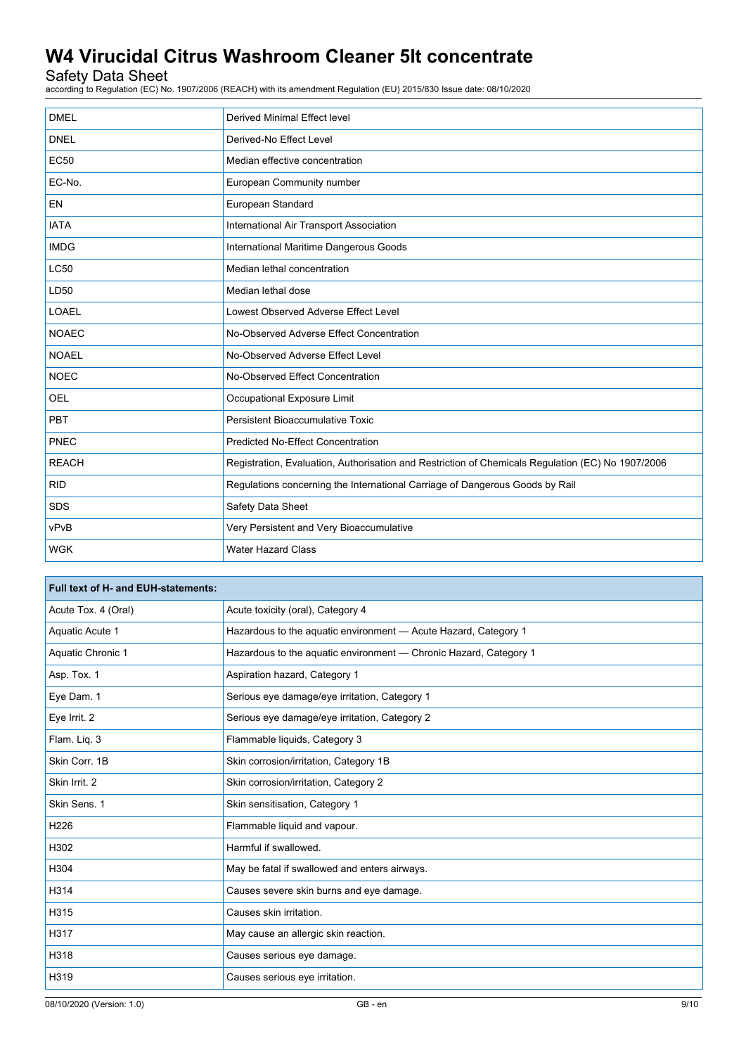## Safety Data Sheet

according to Regulation (EC) No. 1907/2006 (REACH) with its amendment Regulation (EU) 2015/830 Issue date: 08/10/2020

| <b>DMEL</b>  | Derived Minimal Effect level                                                                      |
|--------------|---------------------------------------------------------------------------------------------------|
| <b>DNEL</b>  | Derived-No Effect Level                                                                           |
| <b>EC50</b>  | Median effective concentration                                                                    |
| EC-No.       | European Community number                                                                         |
| <b>EN</b>    | European Standard                                                                                 |
| <b>IATA</b>  | International Air Transport Association                                                           |
| <b>IMDG</b>  | International Maritime Dangerous Goods                                                            |
| <b>LC50</b>  | Median lethal concentration                                                                       |
| LD50         | Median lethal dose                                                                                |
| <b>LOAEL</b> | Lowest Observed Adverse Effect Level                                                              |
| <b>NOAEC</b> | No-Observed Adverse Effect Concentration                                                          |
| <b>NOAEL</b> | No-Observed Adverse Effect Level                                                                  |
| <b>NOEC</b>  | No-Observed Effect Concentration                                                                  |
| <b>OEL</b>   | Occupational Exposure Limit                                                                       |
| <b>PBT</b>   | Persistent Bioaccumulative Toxic                                                                  |
| PNEC         | <b>Predicted No-Effect Concentration</b>                                                          |
| <b>REACH</b> | Registration, Evaluation, Authorisation and Restriction of Chemicals Regulation (EC) No 1907/2006 |
| <b>RID</b>   | Regulations concerning the International Carriage of Dangerous Goods by Rail                      |
| <b>SDS</b>   | Safety Data Sheet                                                                                 |
| vPvB         | Very Persistent and Very Bioaccumulative                                                          |
| <b>WGK</b>   | <b>Water Hazard Class</b>                                                                         |

| Full text of H- and EUH-statements: |                                                                   |  |
|-------------------------------------|-------------------------------------------------------------------|--|
| Acute Tox. 4 (Oral)                 | Acute toxicity (oral), Category 4                                 |  |
| Aquatic Acute 1                     | Hazardous to the aquatic environment - Acute Hazard, Category 1   |  |
| Aquatic Chronic 1                   | Hazardous to the aquatic environment - Chronic Hazard, Category 1 |  |
| Asp. Tox. 1                         | Aspiration hazard, Category 1                                     |  |
| Eye Dam. 1                          | Serious eye damage/eye irritation, Category 1                     |  |
| Eye Irrit. 2                        | Serious eye damage/eye irritation, Category 2                     |  |
| Flam. Liq. 3                        | Flammable liquids, Category 3                                     |  |
| Skin Corr. 1B                       | Skin corrosion/irritation, Category 1B                            |  |
| Skin Irrit. 2                       | Skin corrosion/irritation, Category 2                             |  |
| Skin Sens. 1                        | Skin sensitisation, Category 1                                    |  |
| H226                                | Flammable liquid and vapour.                                      |  |
| H302                                | Harmful if swallowed.                                             |  |
| H304                                | May be fatal if swallowed and enters airways.                     |  |
| H314                                | Causes severe skin burns and eye damage.                          |  |
| H315                                | Causes skin irritation.                                           |  |
| H317                                | May cause an allergic skin reaction.                              |  |
| H318                                | Causes serious eye damage.                                        |  |
| H319                                | Causes serious eye irritation.                                    |  |
|                                     |                                                                   |  |